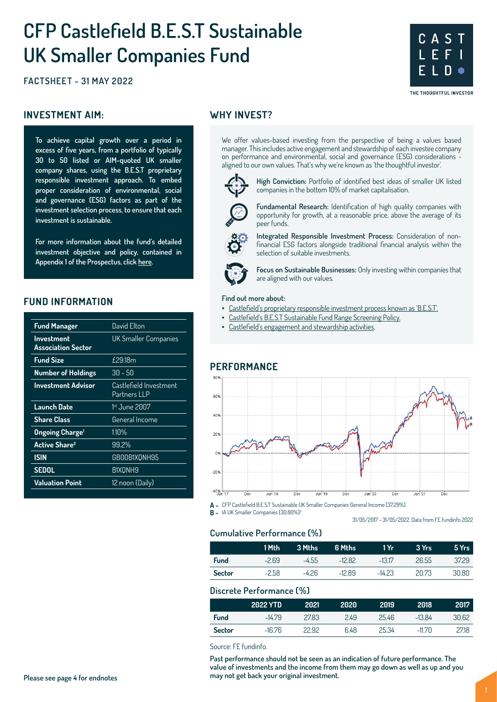# **CFP Castlefield B.E.S.T Sustainable UK Smaller Companies Fund**

**FACTSHEET - 31 MAY 2022**

#### **INVESTMENT AIM:** WHY INVEST?

**To achieve capital growth over a period in excess of five years, from a portfolio of typically 30 to 50 listed or AIM-quoted UK smaller company shares, using the B.E.S.T proprietary responsible investment approach. To embed proper consideration of environmental, social and governance (ESG) factors as part of the investment selection process, to ensure that each investment is sustainable.**

**For more information about the fund's detailed investment objective and policy, contained in Appendix 1 of the Prospectus, click here.**

#### **FUND INFORMATION**

| <b>Fund Manager</b>                            | David Flton                            |
|------------------------------------------------|----------------------------------------|
| <b>Investment</b><br><b>Association Sector</b> | UK Smaller Companies                   |
| <b>Fund Size</b>                               | £29.18m                                |
| <b>Number of Holdings</b>                      | $30 - 50$                              |
| <b>Investment Advisor</b>                      | Castlefield Investment<br>Partners LLP |
| Launch Date                                    | 1st June 2007                          |
| <b>Share Class</b>                             | General Income                         |
| <b>Ongoing Charge</b> <sup>1</sup>             | $1.10\%$                               |
| <b>Active Share<sup>2</sup></b>                | 99.2%                                  |
| <b>ISIN</b>                                    | GB00B1X0NH95                           |
| <b>SEDOL</b>                                   | B1X0NH9                                |
| <b>Valuation Point</b>                         | 12 noon (Daily)                        |
|                                                |                                        |

We offer values-based investing from the perspective of being a values based manager. This includes active engagement and stewardship of each investee company on performance and environmental, social and governance (ESG) considerations aligned to our own values. That's why we're known as 'the thoughtful investor'.



**High Conviction:** Portfolio of identified best ideas of smaller UK listed companies in the bottom 10% of market capitalisation.

**C A S T L E F I**

**E L D**

THE THOUGHTFUL INVESTOR

**Fundamental Research:** Identification of high quality companies with opportunity for growth, at a reasonable price, above the average of its peer funds.

**Integrated Responsible Investment Process:** Consideration of nonfinancial ESG factors alongside traditional financial analysis within the selection of suitable investments.



**Focus on Sustainable Businesses:** Only investing within companies that are aligned with our values.

#### **Find out more about:**

- Castlefield's proprietary responsible investment process known as 'B.E.S.T'.
	- Castlefield's B.E.S.T Sustainable Fund Range Screening Policy.
- Castlefield's engagement and stewardship activities.

#### **PERFORMANCE**



**A -** CFP Castlefield B.E.S.T Sustainable UK Smaller Companies General Income [37.29%]

**B -** IA UK Smaller Companies [30.80%]<sup>3</sup>

31/05/2017 - 31/05/2022. Data from FE fundinfo 2022

#### **Cumulative Performance (%)**

|        | 1 Mth   | 3 Mths  | 6 Mths   | 1 Yr     | 3 Yrs | 5 Yrs |
|--------|---------|---------|----------|----------|-------|-------|
| Fund   | $-269$  | $-4.55$ | $-1282$  | $-13.17$ | 26.55 | 37.29 |
| Sector | $-2.58$ | -426    | $-12.89$ | $-14.23$ | 20.73 | 30.80 |
|        |         |         |          |          |       |       |

#### **Discrete Performance (%)**

|               | 2022 YTD | 2021  | 2020 | 2019  | 2018     | 2017 |
|---------------|----------|-------|------|-------|----------|------|
| <b>Fund</b>   | $-14.79$ | 27.83 | 2.49 | 25.46 | $-13.84$ | 3062 |
| <b>Sector</b> | $-16.76$ | 22.92 | 6.48 | 25.34 | $-1170$  | 2718 |

Source: FE fundinfo.

**Past performance should not be seen as an indication of future performance. The value of investments and the income from them may go down as well as up and you may not get back your original investment. Please see page 4 for endnotes**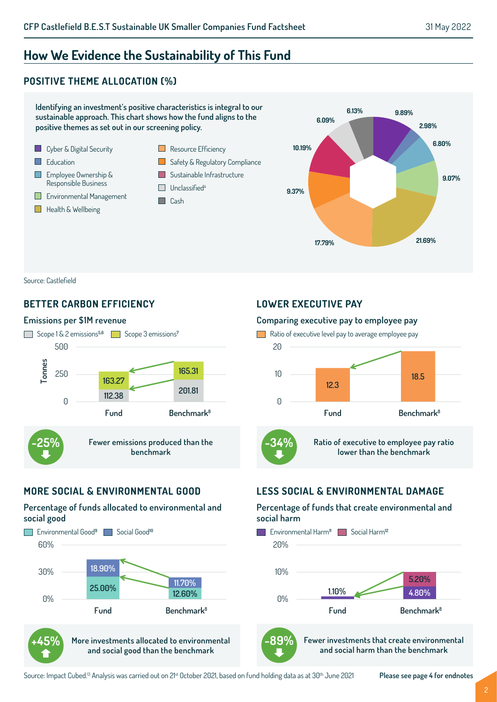# **How We Evidence the Sustainability of This Fund**

### **POSITIVE THEME ALLOCATION (%)**



Source: Castlefield

#### **BETTER CARBON EFFICIENCY**

#### **Emissions per \$1M revenue**



#### **MORE SOCIAL & ENVIRONMENTAL GOOD**

#### **Percentage of funds allocated to environmental and social good**



**and social good than the benchmark**

#### **LOWER EXECUTIVE PAY**

#### **Comparing executive pay to employee pay**



## **LESS SOCIAL & ENVIRONMENTAL DAMAGE**

#### **Percentage of funds that create environmental and social harm**





**Fewer investments that create environmental and social harm than the benchmark**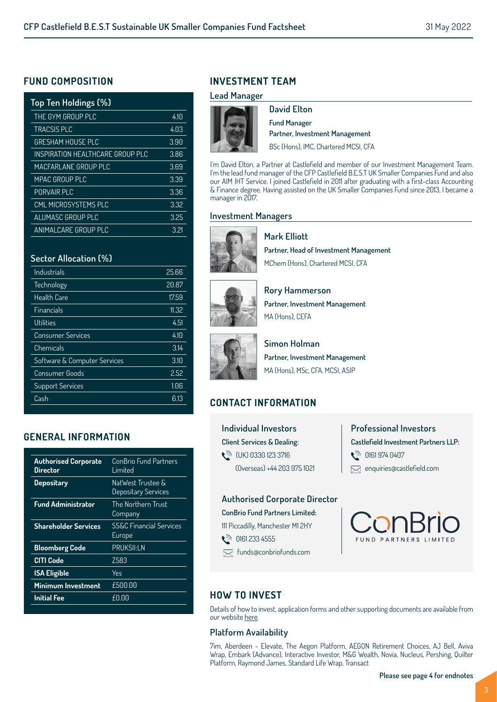#### **FUND COMPOSITION**

| Top Ten Holdings (%)             |      |
|----------------------------------|------|
| THE GYM GROUP PLC                | 4.10 |
| <b>TRACSIS PLC</b>               | 4.03 |
| <b>GRESHAM HOUSE PLC</b>         | 3.90 |
| INSPIRATION HEALTHCARE GROUP PLC | 3.86 |
| MACFARLANE GROUP PLC             | 3.69 |
| <b>MPAC GROUP PLC</b>            | 3.39 |
| PORVAIR PLC                      | 3.36 |
| CMI MICROSYSTEMS PLC             | 3.32 |
| ALUMASC GROUP PLC                | 3.25 |
| <b>ANIMALCARE GROUP PLC</b>      | 3.21 |

#### **Sector Allocation (%)**

| 25.66 |
|-------|
| 20.87 |
| 17.59 |
| 11.32 |
| 4.51  |
| 4.10  |
| 3.14  |
| 3.10  |
| 2.52  |
| 1.06  |
| 6.13  |
|       |

#### **GENERAL INFORMATION**

| <b>Authorised Corporate</b><br>Director | ConBrio Fund Partners<br>I imited            |
|-----------------------------------------|----------------------------------------------|
| <b>Depositary</b>                       | NatWest Trustee &<br>Depositary Services     |
| <b>Fund Administrator</b>               | The Northern Trust<br>Company                |
| <b>Shareholder Services</b>             | <b>SS&amp;C Financial Services</b><br>Europe |
| <b>Bloomberg Code</b>                   | <b>PRUKSII:LN</b>                            |
| <b>CITI Code</b>                        | 7583                                         |
| <b>ISA Eligible</b>                     | Yes                                          |
| Minimum Investment                      | £500.00                                      |
| <b>Initial Fee</b>                      | £0.00                                        |

# **INVESTMENT TEAM**

#### **Lead Manager**



**David Elton Fund Manager Partner, Investment Management** BSc (Hons), IMC, Chartered MCSI, CFA

I'm David Elton, a Partner at Castlefield and member of our Investment Management Team. I'm the lead fund manager of the CFP Castlefield B.E.S.T UK Smaller Companies Fund and also our AIM IHT Service. I joined Castlefield in 2011 after graduating with a first-class Accounting & Finance degree. Having assisted on the UK Smaller Companies Fund since 2013, I became a manager in 2017.

#### **Investment Managers**

**Mark Elliott**



**Partner, Head of Investment Management** MChem (Hons), Chartered MCSI, CFA



**Rory Hammerson Partner, Investment Management** MA (Hons), CFFA



**Simon Holman Partner, Investment Management** MA (Hons), MSc, CFA, MCSI, ASIP

# **CONTACT INFORMATION**

**Individual Investors Client Services & Dealing:**  (UK) 0330 123 3716 (Overseas) +44 203 975 1021 **Professional Investors Castlefield Investment Partners LLP: ्री 0161 974 0407** enquiries@castlefield.com

#### **Authorised Corporate Director**

**ConBrio Fund Partners Limited:**

111 Piccadilly, Manchester M1 2HY

- **ौ 0161 233 4555**
- funds@conbriofunds.com



#### **HOW TO INVEST**

Details of how to invest, application forms and other supporting documents are available from our website here.

#### **Platform Availability**

7im, Aberdeen - Elevate, The Aegon Platform, AEGON Retirement Choices, AJ Bell, Aviva Wrap, Embark (Advance), Interactive Investor, M&G Wealth, Novia, Nucleus, Pershing, Quilter Platform, Raymond James, Standard Life Wrap, Transact